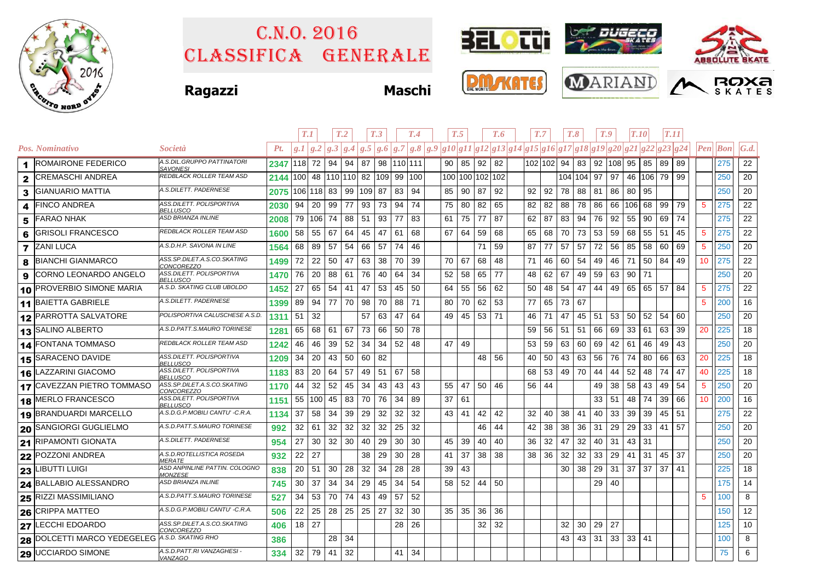

## Classifica generale C.n.o. 2016



**Ragazzi Maschi**







|   |                                   |                                                        |                   | T.1     |     |                                | T <sub>.2</sub> |     | T.3 |            | T.4 | T.5 |    |    |                 | T.7<br>T.6                                                                                                                                                                                                                                                                                                                                               |    |            |     | T.8          |              | T.9 | T.10            |           | <b>T.11</b> |     |                 |                                 |              |
|---|-----------------------------------|--------------------------------------------------------|-------------------|---------|-----|--------------------------------|-----------------|-----|-----|------------|-----|-----|----|----|-----------------|----------------------------------------------------------------------------------------------------------------------------------------------------------------------------------------------------------------------------------------------------------------------------------------------------------------------------------------------------------|----|------------|-----|--------------|--------------|-----|-----------------|-----------|-------------|-----|-----------------|---------------------------------|--------------|
|   | Pos. Nominativo                   | <i>Società</i>                                         | Pt.               | g.I/g.2 |     |                                |                 |     |     |            |     |     |    |    |                 | $\left  \,g. 3 \, \right  \,g. 4 \, \left  \,g. 5 \, \right  \,g. 6 \, \left  \,g. 7 \, \right  \,g. 8 \, \left  \,g. 9 \, \right  \,g. 10 \, \left  \,g. 11 \, \right  \,g. 12 \, \left  \,g. 13 \, \right  \,g. 14 \, \left  \,g. 15 \, \right  \,g. 16 \, \left  \,g. 17 \, \right  \,g. 18 \, \left  \,g. 21 \, \right  \,g. 22 \, \left  \,g. 23 \$ |    |            |     |              |              |     |                 |           |             |     |                 | $\left  Pen \right $ <i>Bon</i> | $\vert G.d.$ |
|   | 1 ROMAIRONE FEDERICO              | A.S.DIL.GRUPPO PATTINATORI<br><b>SAVONESI</b>          | 2347 118 72 94 94 |         |     |                                |                 | 87  |     | 98 110 111 |     |     |    |    | 90 85 92 82     |                                                                                                                                                                                                                                                                                                                                                          |    | 102 102 94 |     |              | 83 92 108 95 |     |                 | 85        | 89          | -89 |                 | 275                             | 22           |
|   | 2 CREMASCHI ANDREA                | REDBLACK ROLLER TEAM ASD                               | 2144              | 100     |     | 48   110   110   82   109   99 |                 |     |     |            | 100 |     |    |    | 100 100 102 102 |                                                                                                                                                                                                                                                                                                                                                          |    |            |     | 104 104 97   |              | 97  | 46              | 106 79 99 |             |     |                 | 250                             | 20           |
| 3 | <b>GIANUARIO MATTIA</b>           | A.S.DILETT. PADERNESE                                  | 2075 106 118 83   |         |     |                                | 99              | 109 | 87  | 83         | 94  |     | 85 | 90 | 87              | 92                                                                                                                                                                                                                                                                                                                                                       | 92 | 92         | 78  | 88           | 81           | 86  | 80              | 95        |             |     |                 | 250                             | 20           |
| 4 | <b>FINCO ANDREA</b>               | ASS.DILETT. POLISPORTIVA<br><u>BELLUSCO</u>            | 2030              | 94      | 20  | 99                             | 77              | 93  | 73  | 94         | 74  |     | 75 | 80 | 82              | 65                                                                                                                                                                                                                                                                                                                                                       | 82 | 82         | 88  | 78 86        |              | 66  | 106             | 68        | 99          | 79  | 5               | 275                             | 22           |
| 5 | <b>FARAO NHAK</b>                 | ASD BRIANZA INLINE                                     | 2008              | 79      | 106 | 74                             | 88              | 51  | 93  | 77         | 83  |     | 61 | 75 | 77              | 87                                                                                                                                                                                                                                                                                                                                                       | 62 | 87         | 83  | 94           | 76           | 92  | 55              | 90        | 69          | 74  |                 | 275                             | 22           |
| 6 | <b>GRISOLI FRANCESCO</b>          | REDBLACK ROLLER TEAM ASD                               | 1600              | 58      | 55  | 67                             | 64              | 45  | 47  | 61         | 68  |     | 67 | 64 | 59              | 68                                                                                                                                                                                                                                                                                                                                                       | 65 | 68         | 70  | 73           | 53           | 59  | 68              | 55        | 51          | 45  | $\overline{5}$  | 275                             | 22           |
|   | <b>7</b> ZANI LUCA                | A.S.D.H.P. SAVONA IN LINE                              | 1564              | 68      | 89  | 57                             | 54              | 66  | 57  | 74         | 46  |     |    |    | 71              | 59                                                                                                                                                                                                                                                                                                                                                       | 87 | 77         | 57  | 57           | 72           | 56  | 85              | 58        | 60          | 69  | $5\phantom{.0}$ | 250                             | 20           |
|   | <b>8 BIANCHI GIANMARCO</b>        | ASS.SP.DILET.A.S.CO.SKATING<br>CONCOREZZO              | 1499              | 72      | 22  | 50                             | 47              | 63  | 38  | 70         | 39  |     | 70 | 67 | 68              | 48                                                                                                                                                                                                                                                                                                                                                       | 71 | 46         | 60  | 54           | 49           | 46  | 71              | 50        | 84          | 49  | 10              | 275                             | 22           |
| 9 | CORNO LEONARDO ANGELO             | ASS.DILETT. POLISPORTIVA<br><b>BELLUSCO</b>            | 1470              | 76      | 20  | 88                             | -61             | 76  | 40  | 64         | 34  |     | 52 | 58 | 65              | 77                                                                                                                                                                                                                                                                                                                                                       | 48 | 62         | 67  | 49           | 59           | 63  | 90              | 71        |             |     |                 | 250                             | 20           |
|   | 10 PROVERBIO SIMONE MARIA         | A.S.D. SKATING CLUB UBOLDO                             | 1452              | 27      | 65  | 54                             | 41              | 47  | 53  | - 45       | 50  |     | 64 | 55 | 56              | 62                                                                                                                                                                                                                                                                                                                                                       | 50 | 48         | 54  | 47           | 44           | -49 | 65              | 65        | 57          | 84  | $5\phantom{.0}$ | 275                             | 22           |
|   | 11 BAIETTA GABRIELE               | A.S.DILETT. PADERNESE                                  | 1399              | 89      | 94  | 77                             | 70              | 98  | 70  | 88         | 71  |     | 80 | 70 | 62              | 53                                                                                                                                                                                                                                                                                                                                                       | 77 | 65         | 73  | 67           |              |     |                 |           |             |     | 5               | 200                             | 16           |
|   | <b>12 PARROTTA SALVATORE</b>      | POLISPORTIVA CALUSCHESE A.S.D.                         | 1311              | 51      | 32  |                                |                 | 57  | 63  | 47         | 64  |     | 49 | 45 | 53              | 71                                                                                                                                                                                                                                                                                                                                                       | 46 | 71         | 47  | 45           | 51           | 53  | 50              | 52        | 54          | 60  |                 | 250                             | 20           |
|   | 13 SALINO ALBERTO                 | A.S.D.PATT.S.MAURO TORINESE                            | 1281              | 65      | 68  | 61                             | 67              | 73  | 66  | 50         | 78  |     |    |    |                 |                                                                                                                                                                                                                                                                                                                                                          | 59 | 56         | -51 | 51           | 66           | 69  | 33              | 61        | 63          | 39  | 20              | 225                             | 18           |
|   | 14 FONTANA TOMMASO                | REDBLACK ROLLER TEAM ASD                               | 1242              | 46      | 46  | 39                             | 52              | 34  | 34  | 52         | 48  |     | 47 | 49 |                 |                                                                                                                                                                                                                                                                                                                                                          | 53 | 59         | 63  | 60           | 69           | 42  | 61              | 46        | 49          | 43  |                 | 250                             | 20           |
|   | 15 SARACENO DAVIDE                | ASS.DILETT. POLISPORTIVA<br><b>BELLUSCO</b>            | 1209              | 34      | 20  | 43                             | 50              | 60  | 82  |            |     |     |    |    | 48              | 56                                                                                                                                                                                                                                                                                                                                                       | 40 | 50         | 43  | 63           | 56           | 76  | 74              | 80        | 66          | 63  | 20              | 225                             | 18           |
|   | 16 LAZZARINI GIACOMO              | ASS.DILETT. POLISPORTIVA<br><b>BELLUSCO</b>            | 1183              | 83      | 20  | 64                             | 57              | 49  | 51  | 67         | 58  |     |    |    |                 |                                                                                                                                                                                                                                                                                                                                                          | 68 | 53         | 49  | 70           | 44           | 44  | 52              | 48        | 74          | 47  | 40              | 225                             | 18           |
|   | <b>17 CAVEZZAN PIETRO TOMMASO</b> | ASS.SP.DILET.A.S.CO.SKATING<br>CONCOREZZO              | 1170              | 44      | 32  | 52                             | 45              | 34  | 43  | 43         | 43  |     | 55 | 47 | 50              | 46                                                                                                                                                                                                                                                                                                                                                       | 56 | 44         |     |              | 49           | 38  | 58              | 43        | 49          | 54  | $5\phantom{.0}$ | 250                             | 20           |
|   | 18 MERLO FRANCESCO                | ASS.DILETT. POLISPORTIVA<br>BELLUSCO                   | 1151              | 55      | 100 | 45                             | 83              | 70  | 76  | -34        | 89  |     | 37 | 61 |                 |                                                                                                                                                                                                                                                                                                                                                          |    |            |     |              | 33           | 51  | 48              | 74        | 39          | 66  | 10              | 200                             | 16           |
|   | 19 BRANDUARDI MARCELLO            | A.S.D.G.P.MOBILI CANTU' -C.R.A.                        | 1134              | 37      | 58  | 34                             | 39              | 29  | 32  | 32         | 32  |     | 43 | 41 | 42              | 42                                                                                                                                                                                                                                                                                                                                                       | 32 | 40         | 38  | 41           | 40           | 33  | 39              | 39        | 45          | 51  |                 | 275                             | 22           |
|   | 20 SANGIORGI GUGLIELMO            | A.S.D.PATT.S.MAURO TORINESE                            | 992               | 32      | 61  | 32                             | 32              | 32  | 32  | 25         | 32  |     |    |    | 46              | 44                                                                                                                                                                                                                                                                                                                                                       | 42 | 38         | 38  | 36           | 31           | 29  | 29              | 33        | 41          | 57  |                 | 250                             | 20           |
|   | 21 RIPAMONTI GIONATA              | A.S.DILETT. PADERNESE                                  | 954               | 27      | 30  | 32                             | 30              | 40  | 29  | 30         | 30  |     | 45 | 39 | 40              | 40                                                                                                                                                                                                                                                                                                                                                       | 36 | 32         | 47  | 32           | 40           | -31 | 43              | 31        |             |     |                 | 250                             | 20           |
|   | 22 POZZONI ANDREA                 | A.S.D.ROTELLISTICA ROSEDA<br><b>MERATE</b>             | 932               | 22      | 27  |                                |                 | 38  | 29  | 30         | 28  |     | 41 | 37 | 38              | 38                                                                                                                                                                                                                                                                                                                                                       | 38 | 36         | 32  | 32           | 33           | 29  | 41              | 31        | 45          | 37  |                 | 250                             | 20           |
|   | 23 LIBUTTI LUIGI                  | ASD ANPINLINE PATTIN. COLOGNO<br><i><b>MONZESE</b></i> | 838               | 20      | 51  | 30                             | 28              | 32  | 34  | 28         | 28  |     | 39 | 43 |                 |                                                                                                                                                                                                                                                                                                                                                          |    |            | 30  | 38           | 29           | 31  | 37              | 37        | 37          | -41 |                 | 225                             | 18           |
|   | 24 BALLABIO ALESSANDRO            | <i><b>ASD BRIANZA INLINE</b></i>                       | 745               | 30      | 37  | 34                             | 34              | 29  | 45  | 34         | 54  |     | 58 | 52 | 44 50           |                                                                                                                                                                                                                                                                                                                                                          |    |            |     |              | 29           | 40  |                 |           |             |     |                 | 175                             | 14           |
|   | 25 RIZZI MASSIMILIANO             | A.S.D.PATT.S.MAURO TORINESE                            | 527               | 34      | 53  | 70                             | 74              | 43  | 49  | 57         | 52  |     |    |    |                 |                                                                                                                                                                                                                                                                                                                                                          |    |            |     |              |              |     |                 |           |             |     | $\sqrt{5}$      | 100                             | 8            |
|   | 26 CRIPPA MATTEO                  | A.S.D.G.P.MOBILI CANTU' -C.R.A.                        | 506               | 22      | 25  | 28                             | 25              | 25  | 27  | 32         | 30  |     | 35 | 35 | 36              | 36                                                                                                                                                                                                                                                                                                                                                       |    |            |     |              |              |     |                 |           |             |     |                 | 150                             | 12           |
|   | 27 LECCHI EDOARDO                 | ASS.SP.DILET.A.S.CO.SKATING<br><i>CONCOREZZO</i>       | 406               | 18      | 27  |                                |                 |     |     | 28         | 26  |     |    |    | 32 <sup>2</sup> | 32                                                                                                                                                                                                                                                                                                                                                       |    |            | 32  | 30           | 29           | 27  |                 |           |             |     |                 | 125                             | 10           |
|   | 28 DOLCETTI MARCO YEDEGELEG       | A.S.D. SKATING RHO                                     | 386               |         |     | 28                             | 34              |     |     |            |     |     |    |    |                 |                                                                                                                                                                                                                                                                                                                                                          |    |            | 43  | $43 \mid 31$ |              | 33  | 33 <sup>1</sup> | 41        |             |     |                 | 100                             | 8            |
|   | 29 UCCIARDO SIMONE                | A.S.D.PATT.RI VANZAGHESI -<br><u>VANZAGO</u>           | 334               | 32      | 79  | 41                             | 32              |     |     | 41         | -34 |     |    |    |                 |                                                                                                                                                                                                                                                                                                                                                          |    |            |     |              |              |     |                 |           |             |     |                 | 75                              | 6            |
|   |                                   |                                                        |                   |         |     |                                |                 |     |     |            |     |     |    |    |                 |                                                                                                                                                                                                                                                                                                                                                          |    |            |     |              |              |     |                 |           |             |     |                 |                                 |              |